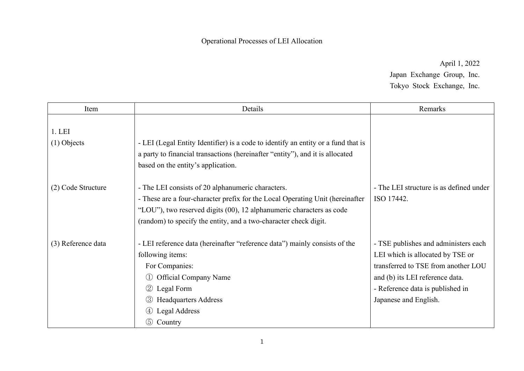Operational Processes of LEI Allocation

April 1, 2022 Japan Exchange Group, Inc. Tokyo Stock Exchange, Inc.

| Item                   | Details                                                                                                                                                                                                                                                                                         | Remarks                                                                                                                                                                                                         |
|------------------------|-------------------------------------------------------------------------------------------------------------------------------------------------------------------------------------------------------------------------------------------------------------------------------------------------|-----------------------------------------------------------------------------------------------------------------------------------------------------------------------------------------------------------------|
| 1.LEI<br>$(1)$ Objects | - LEI (Legal Entity Identifier) is a code to identify an entity or a fund that is<br>a party to financial transactions (hereinafter "entity"), and it is allocated<br>based on the entity's application.                                                                                        |                                                                                                                                                                                                                 |
| (2) Code Structure     | - The LEI consists of 20 alphanumeric characters.<br>- These are a four-character prefix for the Local Operating Unit (hereinafter<br>"LOU"), two reserved digits (00), 12 alphanumeric characters as code<br>(random) to specify the entity, and a two-character check digit.                  | - The LEI structure is as defined under<br>ISO 17442.                                                                                                                                                           |
| (3) Reference data     | - LEI reference data (hereinafter "reference data") mainly consists of the<br>following items:<br>For Companies:<br><b>Official Company Name</b><br>$\left( \frac{1}{2} \right)$<br>(2)<br>Legal Form<br><b>Headquarters Address</b><br>(3)<br>Legal Address<br>$\circled{4}$<br>(5)<br>Country | - TSE publishes and administers each<br>LEI which is allocated by TSE or<br>transferred to TSE from another LOU<br>and (b) its LEI reference data.<br>- Reference data is published in<br>Japanese and English. |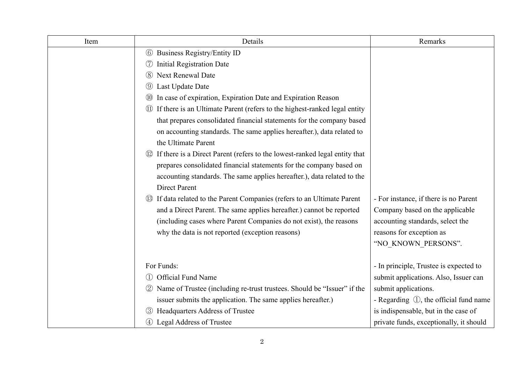| Item | Details                                                                           | Remarks                                           |
|------|-----------------------------------------------------------------------------------|---------------------------------------------------|
|      | <b>6</b> Business Registry/Entity ID                                              |                                                   |
|      | <b>Initial Registration Date</b><br>(7)                                           |                                                   |
|      | Next Renewal Date<br>(8)                                                          |                                                   |
|      | Last Update Date<br>(9)                                                           |                                                   |
|      | In case of expiration, Expiration Date and Expiration Reason<br>(10)              |                                                   |
|      | If there is an Ultimate Parent (refers to the highest-ranked legal entity<br>(11) |                                                   |
|      | that prepares consolidated financial statements for the company based             |                                                   |
|      | on accounting standards. The same applies hereafter.), data related to            |                                                   |
|      | the Ultimate Parent                                                               |                                                   |
|      | 12 If there is a Direct Parent (refers to the lowest-ranked legal entity that     |                                                   |
|      | prepares consolidated financial statements for the company based on               |                                                   |
|      | accounting standards. The same applies hereafter.), data related to the           |                                                   |
|      | <b>Direct Parent</b>                                                              |                                                   |
|      | 13 If data related to the Parent Companies (refers to an Ultimate Parent          | - For instance, if there is no Parent             |
|      | and a Direct Parent. The same applies hereafter.) cannot be reported              | Company based on the applicable                   |
|      | (including cases where Parent Companies do not exist), the reasons                | accounting standards, select the                  |
|      | why the data is not reported (exception reasons)                                  | reasons for exception as                          |
|      |                                                                                   | "NO KNOWN PERSONS".                               |
|      |                                                                                   |                                                   |
|      | For Funds:                                                                        | - In principle, Trustee is expected to            |
|      | <b>Official Fund Name</b><br>(1)                                                  | submit applications. Also, Issuer can             |
|      | 2 Name of Trustee (including re-trust trustees. Should be "Issuer" if the         | submit applications.                              |
|      | issuer submits the application. The same applies hereafter.)                      | - Regarding $\mathbb{O}$ , the official fund name |
|      | Headquarters Address of Trustee<br>$\left(3\right)$                               | is indispensable, but in the case of              |
|      | 4 Legal Address of Trustee                                                        | private funds, exceptionally, it should           |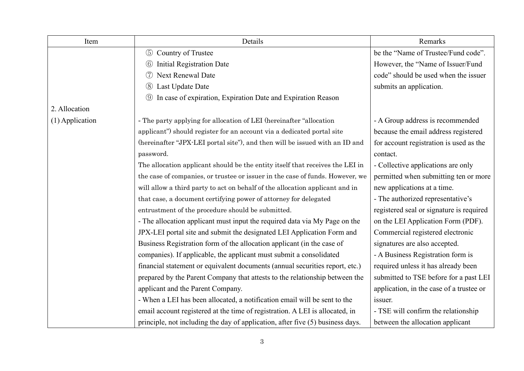| Item            | Details                                                                        | Remarks                                  |
|-----------------|--------------------------------------------------------------------------------|------------------------------------------|
|                 | Country of Trustee<br>$\circled{5}$                                            | be the "Name of Trustee/Fund code".      |
|                 | <b>Initial Registration Date</b><br>(6)                                        | However, the "Name of Issuer/Fund        |
|                 | Next Renewal Date<br>(7)                                                       | code" should be used when the issuer     |
|                 | Last Update Date<br>(8)                                                        | submits an application.                  |
|                 | In case of expiration, Expiration Date and Expiration Reason<br>$\circled{9}$  |                                          |
| 2. Allocation   |                                                                                |                                          |
| (1) Application | - The party applying for allocation of LEI (hereinafter "allocation            | - A Group address is recommended         |
|                 | applicant") should register for an account via a dedicated portal site         | because the email address registered     |
|                 | (hereinafter "JPX-LEI portal site"), and then will be issued with an ID and    | for account registration is used as the  |
|                 | password.                                                                      | contact.                                 |
|                 | The allocation applicant should be the entity itself that receives the LEI in  | - Collective applications are only       |
|                 | the case of companies, or trustee or issuer in the case of funds. However, we  | permitted when submitting ten or more    |
|                 | will allow a third party to act on behalf of the allocation applicant and in   | new applications at a time.              |
|                 | that case, a document certifying power of attorney for delegated               | - The authorized representative's        |
|                 | entrustment of the procedure should be submitted.                              | registered seal or signature is required |
|                 | - The allocation applicant must input the required data via My Page on the     | on the LEI Application Form (PDF).       |
|                 | JPX-LEI portal site and submit the designated LEI Application Form and         | Commercial registered electronic         |
|                 | Business Registration form of the allocation applicant (in the case of         | signatures are also accepted.            |
|                 | companies). If applicable, the applicant must submit a consolidated            | - A Business Registration form is        |
|                 | financial statement or equivalent documents (annual securities report, etc.)   | required unless it has already been      |
|                 | prepared by the Parent Company that attests to the relationship between the    | submitted to TSE before for a past LEI   |
|                 | applicant and the Parent Company.                                              | application, in the case of a trustee or |
|                 | - When a LEI has been allocated, a notification email will be sent to the      | issuer.                                  |
|                 | email account registered at the time of registration. A LEI is allocated, in   | - TSE will confirm the relationship      |
|                 | principle, not including the day of application, after five (5) business days. | between the allocation applicant         |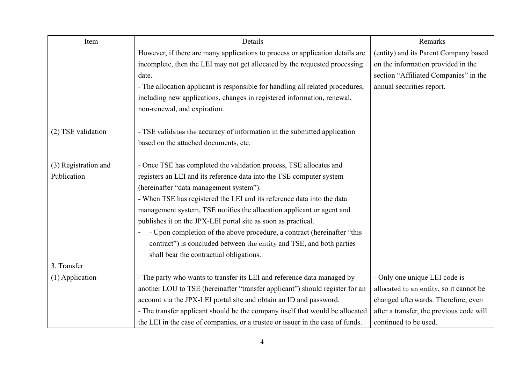| Item                 | Details                                                                        | Remarks                                  |
|----------------------|--------------------------------------------------------------------------------|------------------------------------------|
|                      | However, if there are many applications to process or application details are  | (entity) and its Parent Company based    |
|                      | incomplete, then the LEI may not get allocated by the requested processing     | on the information provided in the       |
|                      | date.                                                                          | section "Affiliated Companies" in the    |
|                      | - The allocation applicant is responsible for handling all related procedures, | annual securities report.                |
|                      | including new applications, changes in registered information, renewal,        |                                          |
|                      | non-renewal, and expiration.                                                   |                                          |
| (2) TSE validation   | - TSE validates the accuracy of information in the submitted application       |                                          |
|                      | based on the attached documents, etc.                                          |                                          |
| (3) Registration and | - Once TSE has completed the validation process, TSE allocates and             |                                          |
| Publication          | registers an LEI and its reference data into the TSE computer system           |                                          |
|                      | (hereinafter "data management system").                                        |                                          |
|                      | - When TSE has registered the LEI and its reference data into the data         |                                          |
|                      | management system, TSE notifies the allocation applicant or agent and          |                                          |
|                      | publishes it on the JPX-LEI portal site as soon as practical.                  |                                          |
|                      | - Upon completion of the above procedure, a contract (hereinafter "this        |                                          |
|                      | contract") is concluded between the entity and TSE, and both parties           |                                          |
|                      | shall bear the contractual obligations.                                        |                                          |
| 3. Transfer          |                                                                                |                                          |
| $(1)$ Application    | - The party who wants to transfer its LEI and reference data managed by        | - Only one unique LEI code is            |
|                      | another LOU to TSE (hereinafter "transfer applicant") should register for an   | allocated to an entity, so it cannot be  |
|                      | account via the JPX-LEI portal site and obtain an ID and password.             | changed afterwards. Therefore, even      |
|                      | - The transfer applicant should be the company itself that would be allocated  | after a transfer, the previous code will |
|                      | the LEI in the case of companies, or a trustee or issuer in the case of funds. | continued to be used.                    |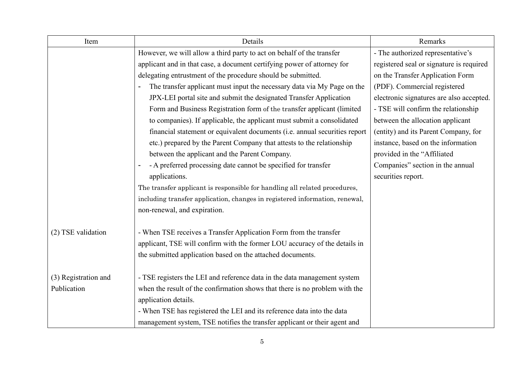| Item                 | Details                                                                     | Remarks                                  |
|----------------------|-----------------------------------------------------------------------------|------------------------------------------|
|                      | However, we will allow a third party to act on behalf of the transfer       | - The authorized representative's        |
|                      | applicant and in that case, a document certifying power of attorney for     | registered seal or signature is required |
|                      | delegating entrustment of the procedure should be submitted.                | on the Transfer Application Form         |
|                      | The transfer applicant must input the necessary data via My Page on the     | (PDF). Commercial registered             |
|                      | JPX-LEI portal site and submit the designated Transfer Application          | electronic signatures are also accepted. |
|                      | Form and Business Registration form of the transfer applicant (limited      | - TSE will confirm the relationship      |
|                      | to companies). If applicable, the applicant must submit a consolidated      | between the allocation applicant         |
|                      | financial statement or equivalent documents (i.e. annual securities report  | (entity) and its Parent Company, for     |
|                      | etc.) prepared by the Parent Company that attests to the relationship       | instance, based on the information       |
|                      | between the applicant and the Parent Company.                               | provided in the "Affiliated              |
|                      | - A preferred processing date cannot be specified for transfer              | Companies" section in the annual         |
|                      | applications.                                                               | securities report.                       |
|                      | The transfer applicant is responsible for handling all related procedures,  |                                          |
|                      | including transfer application, changes in registered information, renewal, |                                          |
|                      | non-renewal, and expiration.                                                |                                          |
| (2) TSE validation   | - When TSE receives a Transfer Application Form from the transfer           |                                          |
|                      | applicant, TSE will confirm with the former LOU accuracy of the details in  |                                          |
|                      | the submitted application based on the attached documents.                  |                                          |
| (3) Registration and | - TSE registers the LEI and reference data in the data management system    |                                          |
| Publication          | when the result of the confirmation shows that there is no problem with the |                                          |
|                      | application details.                                                        |                                          |
|                      | - When TSE has registered the LEI and its reference data into the data      |                                          |
|                      | management system, TSE notifies the transfer applicant or their agent and   |                                          |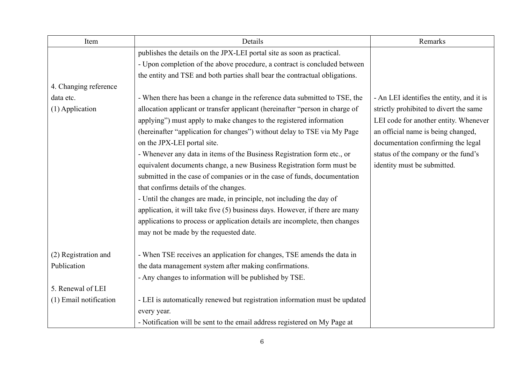| Item                   | Details                                                                      | Remarks                                   |
|------------------------|------------------------------------------------------------------------------|-------------------------------------------|
|                        | publishes the details on the JPX-LEI portal site as soon as practical.       |                                           |
|                        | - Upon completion of the above procedure, a contract is concluded between    |                                           |
|                        | the entity and TSE and both parties shall bear the contractual obligations.  |                                           |
| 4. Changing reference  |                                                                              |                                           |
| data etc.              | - When there has been a change in the reference data submitted to TSE, the   | - An LEI identifies the entity, and it is |
| (1) Application        | allocation applicant or transfer applicant (hereinafter "person in charge of | strictly prohibited to divert the same    |
|                        | applying") must apply to make changes to the registered information          | LEI code for another entity. Whenever     |
|                        | (hereinafter "application for changes") without delay to TSE via My Page     | an official name is being changed,        |
|                        | on the JPX-LEI portal site.                                                  | documentation confirming the legal        |
|                        | - Whenever any data in items of the Business Registration form etc., or      | status of the company or the fund's       |
|                        | equivalent documents change, a new Business Registration form must be        | identity must be submitted.               |
|                        | submitted in the case of companies or in the case of funds, documentation    |                                           |
|                        | that confirms details of the changes.                                        |                                           |
|                        | - Until the changes are made, in principle, not including the day of         |                                           |
|                        | application, it will take five (5) business days. However, if there are many |                                           |
|                        | applications to process or application details are incomplete, then changes  |                                           |
|                        | may not be made by the requested date.                                       |                                           |
|                        |                                                                              |                                           |
| (2) Registration and   | - When TSE receives an application for changes, TSE amends the data in       |                                           |
| Publication            | the data management system after making confirmations.                       |                                           |
|                        | - Any changes to information will be published by TSE.                       |                                           |
| 5. Renewal of LEI      |                                                                              |                                           |
| (1) Email notification | - LEI is automatically renewed but registration information must be updated  |                                           |
|                        | every year.                                                                  |                                           |
|                        | - Notification will be sent to the email address registered on My Page at    |                                           |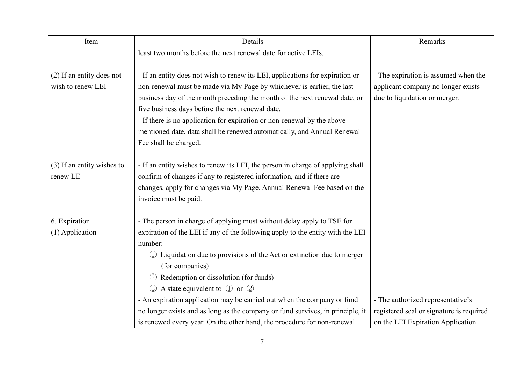| Item                       | Details                                                                        | Remarks                                  |
|----------------------------|--------------------------------------------------------------------------------|------------------------------------------|
|                            | least two months before the next renewal date for active LEIs.                 |                                          |
|                            |                                                                                |                                          |
| (2) If an entity does not  | - If an entity does not wish to renew its LEI, applications for expiration or  | - The expiration is assumed when the     |
| wish to renew LEI          | non-renewal must be made via My Page by whichever is earlier, the last         | applicant company no longer exists       |
|                            | business day of the month preceding the month of the next renewal date, or     | due to liquidation or merger.            |
|                            | five business days before the next renewal date.                               |                                          |
|                            | - If there is no application for expiration or non-renewal by the above        |                                          |
|                            | mentioned date, data shall be renewed automatically, and Annual Renewal        |                                          |
|                            | Fee shall be charged.                                                          |                                          |
|                            |                                                                                |                                          |
| (3) If an entity wishes to | - If an entity wishes to renew its LEI, the person in charge of applying shall |                                          |
| renew LE                   | confirm of changes if any to registered information, and if there are          |                                          |
|                            | changes, apply for changes via My Page. Annual Renewal Fee based on the        |                                          |
|                            | invoice must be paid.                                                          |                                          |
| 6. Expiration              | - The person in charge of applying must without delay apply to TSE for         |                                          |
| (1) Application            | expiration of the LEI if any of the following apply to the entity with the LEI |                                          |
|                            | number:                                                                        |                                          |
|                            | 1) Liquidation due to provisions of the Act or extinction due to merger        |                                          |
|                            | (for companies)                                                                |                                          |
|                            | Redemption or dissolution (for funds)                                          |                                          |
|                            | A state equivalent to $\circled{1}$ or $\circled{2}$<br>$\circled{3}$          |                                          |
|                            | - An expiration application may be carried out when the company or fund        | - The authorized representative's        |
|                            | no longer exists and as long as the company or fund survives, in principle, it | registered seal or signature is required |
|                            | is renewed every year. On the other hand, the procedure for non-renewal        | on the LEI Expiration Application        |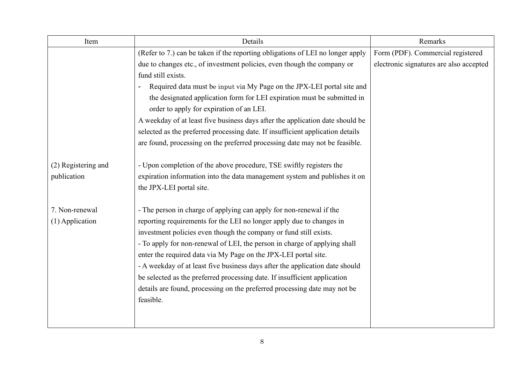| Item                | Details                                                                        | Remarks                                 |
|---------------------|--------------------------------------------------------------------------------|-----------------------------------------|
|                     | (Refer to 7.) can be taken if the reporting obligations of LEI no longer apply | Form (PDF). Commercial registered       |
|                     | due to changes etc., of investment policies, even though the company or        | electronic signatures are also accepted |
|                     | fund still exists.                                                             |                                         |
|                     | Required data must be input via My Page on the JPX-LEI portal site and         |                                         |
|                     | the designated application form for LEI expiration must be submitted in        |                                         |
|                     | order to apply for expiration of an LEI.                                       |                                         |
|                     | A weekday of at least five business days after the application date should be  |                                         |
|                     | selected as the preferred processing date. If insufficient application details |                                         |
|                     | are found, processing on the preferred processing date may not be feasible.    |                                         |
|                     |                                                                                |                                         |
| (2) Registering and | - Upon completion of the above procedure, TSE swiftly registers the            |                                         |
| publication         | expiration information into the data management system and publishes it on     |                                         |
|                     | the JPX-LEI portal site.                                                       |                                         |
|                     |                                                                                |                                         |
| 7. Non-renewal      | - The person in charge of applying can apply for non-renewal if the            |                                         |
| (1) Application     | reporting requirements for the LEI no longer apply due to changes in           |                                         |
|                     | investment policies even though the company or fund still exists.              |                                         |
|                     | - To apply for non-renewal of LEI, the person in charge of applying shall      |                                         |
|                     | enter the required data via My Page on the JPX-LEI portal site.                |                                         |
|                     | - A weekday of at least five business days after the application date should   |                                         |
|                     | be selected as the preferred processing date. If insufficient application      |                                         |
|                     | details are found, processing on the preferred processing date may not be      |                                         |
|                     | feasible.                                                                      |                                         |
|                     |                                                                                |                                         |
|                     |                                                                                |                                         |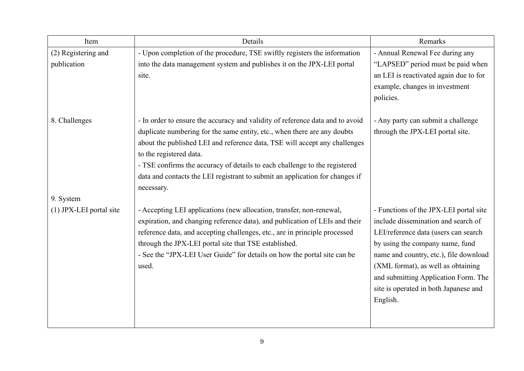| Details                                                                      | Remarks                                                                                                                                                                                                                                                                                                                                                                               |
|------------------------------------------------------------------------------|---------------------------------------------------------------------------------------------------------------------------------------------------------------------------------------------------------------------------------------------------------------------------------------------------------------------------------------------------------------------------------------|
| - Upon completion of the procedure, TSE swiftly registers the information    | - Annual Renewal Fee during any                                                                                                                                                                                                                                                                                                                                                       |
| into the data management system and publishes it on the JPX-LEI portal       | "LAPSED" period must be paid when                                                                                                                                                                                                                                                                                                                                                     |
| site.                                                                        | an LEI is reactivated again due to for                                                                                                                                                                                                                                                                                                                                                |
|                                                                              | example, changes in investment                                                                                                                                                                                                                                                                                                                                                        |
|                                                                              | policies.                                                                                                                                                                                                                                                                                                                                                                             |
|                                                                              | - Any party can submit a challenge                                                                                                                                                                                                                                                                                                                                                    |
|                                                                              | through the JPX-LEI portal site.                                                                                                                                                                                                                                                                                                                                                      |
|                                                                              |                                                                                                                                                                                                                                                                                                                                                                                       |
| to the registered data.                                                      |                                                                                                                                                                                                                                                                                                                                                                                       |
| - TSE confirms the accuracy of details to each challenge to the registered   |                                                                                                                                                                                                                                                                                                                                                                                       |
| data and contacts the LEI registrant to submit an application for changes if |                                                                                                                                                                                                                                                                                                                                                                                       |
| necessary.                                                                   |                                                                                                                                                                                                                                                                                                                                                                                       |
|                                                                              |                                                                                                                                                                                                                                                                                                                                                                                       |
| - Accepting LEI applications (new allocation, transfer, non-renewal,         | - Functions of the JPX-LEI portal site                                                                                                                                                                                                                                                                                                                                                |
| expiration, and changing reference data), and publication of LEIs and their  | include dissemination and search of                                                                                                                                                                                                                                                                                                                                                   |
| reference data, and accepting challenges, etc., are in principle processed   | LEI/reference data (users can search                                                                                                                                                                                                                                                                                                                                                  |
|                                                                              | by using the company name, fund                                                                                                                                                                                                                                                                                                                                                       |
|                                                                              | name and country, etc.), file download                                                                                                                                                                                                                                                                                                                                                |
|                                                                              | (XML format), as well as obtaining                                                                                                                                                                                                                                                                                                                                                    |
|                                                                              | and submitting Application Form. The                                                                                                                                                                                                                                                                                                                                                  |
|                                                                              | site is operated in both Japanese and                                                                                                                                                                                                                                                                                                                                                 |
|                                                                              | English.                                                                                                                                                                                                                                                                                                                                                                              |
|                                                                              |                                                                                                                                                                                                                                                                                                                                                                                       |
|                                                                              | - In order to ensure the accuracy and validity of reference data and to avoid<br>duplicate numbering for the same entity, etc., when there are any doubts<br>about the published LEI and reference data, TSE will accept any challenges<br>through the JPX-LEI portal site that TSE established.<br>- See the "JPX-LEI User Guide" for details on how the portal site can be<br>used. |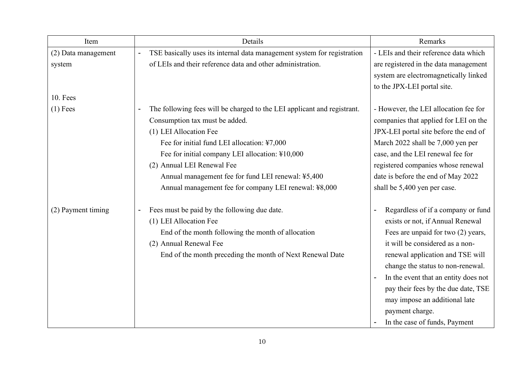| Item                | Details                                                                                   | Remarks                               |
|---------------------|-------------------------------------------------------------------------------------------|---------------------------------------|
| (2) Data management | TSE basically uses its internal data management system for registration<br>$\overline{a}$ | - LEIs and their reference data which |
| system              | of LEIs and their reference data and other administration.                                | are registered in the data management |
|                     |                                                                                           | system are electromagnetically linked |
|                     |                                                                                           | to the JPX-LEI portal site.           |
| <b>10. Fees</b>     |                                                                                           |                                       |
| $(1)$ Fees          | The following fees will be charged to the LEI applicant and registrant.                   | - However, the LEI allocation fee for |
|                     | Consumption tax must be added.                                                            | companies that applied for LEI on the |
|                     | (1) LEI Allocation Fee                                                                    | JPX-LEI portal site before the end of |
|                     | Fee for initial fund LEI allocation: ¥7,000                                               | March 2022 shall be 7,000 yen per     |
|                     | Fee for initial company LEI allocation: ¥10,000                                           | case, and the LEI renewal fee for     |
|                     | (2) Annual LEI Renewal Fee                                                                | registered companies whose renewal    |
|                     | Annual management fee for fund LEI renewal: ¥5,400                                        | date is before the end of May 2022    |
|                     | Annual management fee for company LEI renewal: ¥8,000                                     | shall be 5,400 yen per case.          |
| (2) Payment timing  | Fees must be paid by the following due date.                                              | Regardless of if a company or fund    |
|                     | (1) LEI Allocation Fee                                                                    | exists or not, if Annual Renewal      |
|                     | End of the month following the month of allocation                                        | Fees are unpaid for two (2) years,    |
|                     | (2) Annual Renewal Fee                                                                    | it will be considered as a non-       |
|                     | End of the month preceding the month of Next Renewal Date                                 | renewal application and TSE will      |
|                     |                                                                                           | change the status to non-renewal.     |
|                     |                                                                                           | In the event that an entity does not  |
|                     |                                                                                           | pay their fees by the due date, TSE   |
|                     |                                                                                           | may impose an additional late         |
|                     |                                                                                           | payment charge.                       |
|                     |                                                                                           | In the case of funds, Payment         |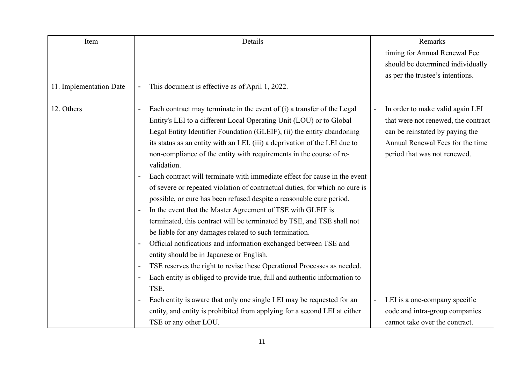| Item                    | Details                                                                                               | Remarks                             |
|-------------------------|-------------------------------------------------------------------------------------------------------|-------------------------------------|
|                         |                                                                                                       | timing for Annual Renewal Fee       |
|                         |                                                                                                       | should be determined individually   |
|                         |                                                                                                       | as per the trustee's intentions.    |
| 11. Implementation Date | This document is effective as of April 1, 2022.<br>$\blacksquare$                                     |                                     |
|                         |                                                                                                       |                                     |
| 12. Others              | Each contract may terminate in the event of (i) a transfer of the Legal                               | In order to make valid again LEI    |
|                         | Entity's LEI to a different Local Operating Unit (LOU) or to Global                                   | that were not renewed, the contract |
|                         | Legal Entity Identifier Foundation (GLEIF), (ii) the entity abandoning                                | can be reinstated by paying the     |
|                         | its status as an entity with an LEI, (iii) a deprivation of the LEI due to                            | Annual Renewal Fees for the time    |
|                         | non-compliance of the entity with requirements in the course of re-                                   | period that was not renewed.        |
|                         | validation.                                                                                           |                                     |
|                         | Each contract will terminate with immediate effect for cause in the event                             |                                     |
|                         | of severe or repeated violation of contractual duties, for which no cure is                           |                                     |
|                         | possible, or cure has been refused despite a reasonable cure period.                                  |                                     |
|                         | In the event that the Master Agreement of TSE with GLEIF is<br>$\overline{a}$                         |                                     |
|                         | terminated, this contract will be terminated by TSE, and TSE shall not                                |                                     |
|                         | be liable for any damages related to such termination.                                                |                                     |
|                         | Official notifications and information exchanged between TSE and                                      |                                     |
|                         | entity should be in Japanese or English.                                                              |                                     |
|                         | TSE reserves the right to revise these Operational Processes as needed.                               |                                     |
|                         | Each entity is obliged to provide true, full and authentic information to<br>$\overline{\phantom{a}}$ |                                     |
|                         | TSE.                                                                                                  |                                     |
|                         | Each entity is aware that only one single LEI may be requested for an                                 | LEI is a one-company specific       |
|                         | entity, and entity is prohibited from applying for a second LEI at either                             | code and intra-group companies      |
|                         | TSE or any other LOU.                                                                                 | cannot take over the contract.      |